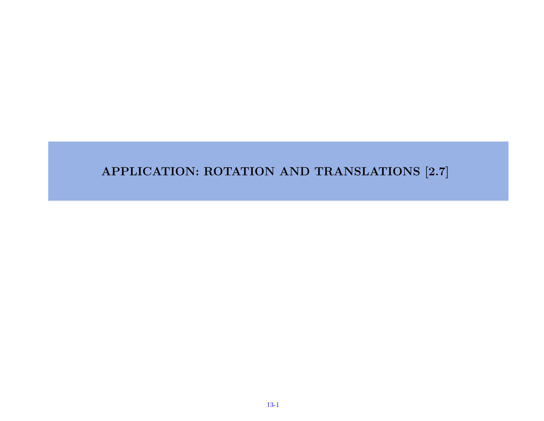#### APPLICATION: ROTATION AND TRANSLATIONS [2.7]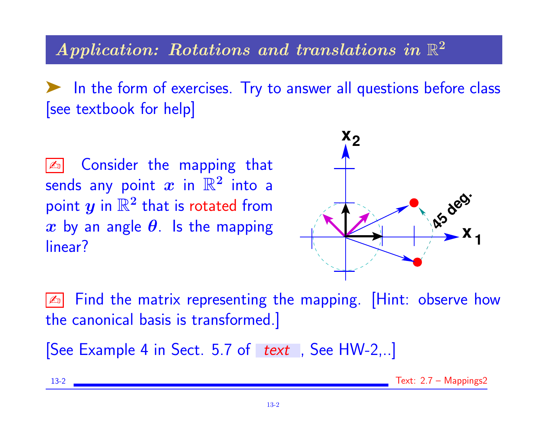# $\boldsymbol{Application: \; Rotations \; \textit{and \; translations \; in} \; \mathbb{R}^2}$

➤ In the form of exercises. Try to answer all questions before class [see textbook for help]

**Ex Consider the mapping that** sends any point  $\boldsymbol{x}$  in  $\mathbb{R}^2$  into a point  $y$  in  $\mathbb{R}^2$  that is rotated from x by an angle  $\theta$ . Is the mapping linear?



**Ex** Find the matrix representing the mapping. [Hint: observe how the canonical basis is transformed.]

[See Example 4 in Sect. 5.7 of text, See HW-2,..]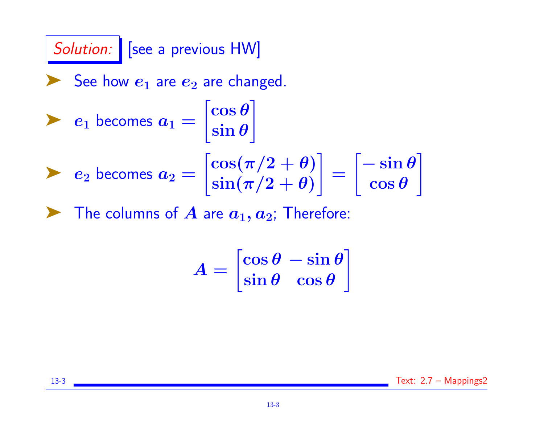Solution: | [see a previous HW] See how  $e_1$  are  $e_2$  are changed.  $\blacktriangleright$   $e_1$  becomes  $a_1 =$  $\int$ cos  $\theta$  $\mathcal{L}$ 

$$
\begin{bmatrix}\n\cos(\pi/2) & \cos(\pi/2) \\
\cos(\pi/2) & \cos(\pi/2) \\
\sin(\pi/2) & \cos(\pi/2) \\
\cos(\pi/2) & \cos(\pi/2)\n\end{bmatrix} = \begin{bmatrix}\n-\sin(\pi/2) & \cos(\pi/2) \\
\cos(\pi/2) & \cos(\pi/2) \\
\cos(\pi/2) & \cos(\pi/2)\n\end{bmatrix}
$$

 $\blacktriangleright$  The columns of  $A$  are  $a_1, a_2$ ; Therefore:

$$
A = \begin{bmatrix} \cos \theta & -\sin \theta \\ \sin \theta & \cos \theta \end{bmatrix}
$$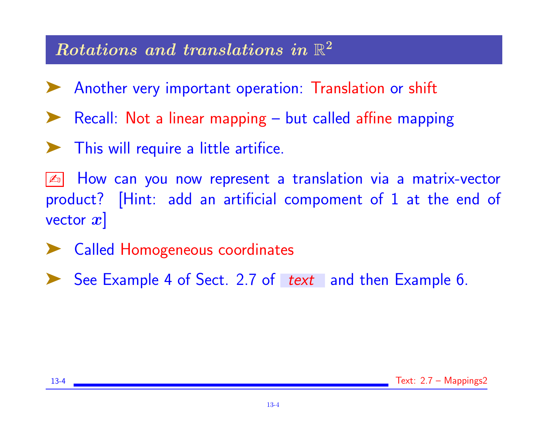# $\boldsymbol{Rotations}$  and translations in  $\mathbb{R}^2$

- ◆ Another very important operation: Translation or shift
- Recall: Not a linear mapping but called affine mapping
- ➤ This will require a little artifice.
- How can you now represent a translation via a matrix-vector product? [Hint: add an artificial compoment of 1 at the end of vector  $x$
- ➤ Called Homogeneous coordinates
- ► See Example 4 of Sect. 2.7 of text and then Example 6.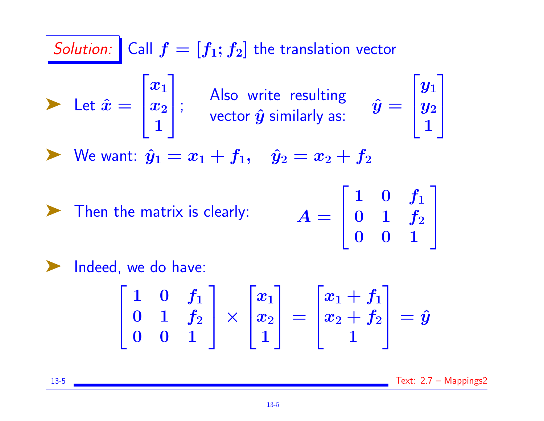Solution: Call 
$$
f = [f_1; f_2]
$$
 the translation vector  
\nLet  $\hat{x} = \begin{bmatrix} x_1 \\ x_2 \\ 1 \end{bmatrix}$ ; Also write resulting  
\nvector  $\hat{y}$  similarly as:  $\hat{y} = \begin{bmatrix} y_1 \\ y_2 \\ 1 \end{bmatrix}$   
\nWe want:  $\hat{y}_1 = x_1 + f_1$ ,  $\hat{y}_2 = x_2 + f_2$   
\nThen the matrix is clearly:  $A = \begin{bmatrix} 1 & 0 & f_1 \\ 0 & 1 & f_2 \\ 0 & 0 & 1 \end{bmatrix}$   
\nIndeed, we do have:  
\n
$$
\begin{bmatrix} 1 & 0 & f_1 \\ 0 & 1 & f_2 \\ 0 & 0 & 1 \end{bmatrix} \times \begin{bmatrix} x_1 \\ x_2 \\ 1 \end{bmatrix} = \begin{bmatrix} x_1 + f_1 \\ x_2 + f_2 \\ 1 \end{bmatrix} = \hat{y}
$$

13-5 Text: 2.7 - Mappings2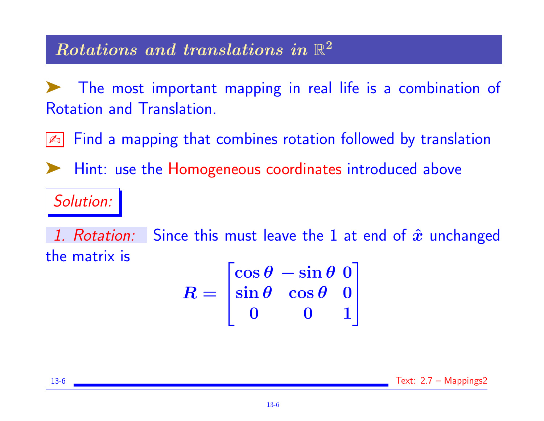# $\boldsymbol{Rotations}$  and translations in  $\mathbb{R}^2$

The most important mapping in real life is a combination of Rotation and Translation.

Find a mapping that combines rotation followed by translation

Hint: use the Homogeneous coordinates introduced above

#### Solution:

1. Rotation: Since this must leave the 1 at end of  $\hat{x}$  unchanged the matrix is

$$
R = \begin{bmatrix} \cos \theta & -\sin \theta & 0 \\ \sin \theta & \cos \theta & 0 \\ 0 & 0 & 1 \end{bmatrix}
$$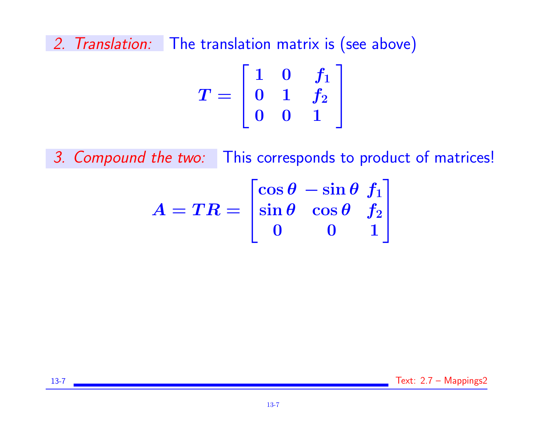2. Translation: The translation matrix is (see above)

$$
T=\left[ \begin{matrix} 1 & 0 & f_1 \\ 0 & 1 & f_2 \\ 0 & 0 & 1 \end{matrix} \right]
$$

3. Compound the two: This corresponds to product of matrices!

$$
A=TR=\begin{bmatrix} \cos\theta & -\sin\theta & f_1 \\ \sin\theta & \cos\theta & f_2 \\ 0 & 0 & 1 \end{bmatrix}
$$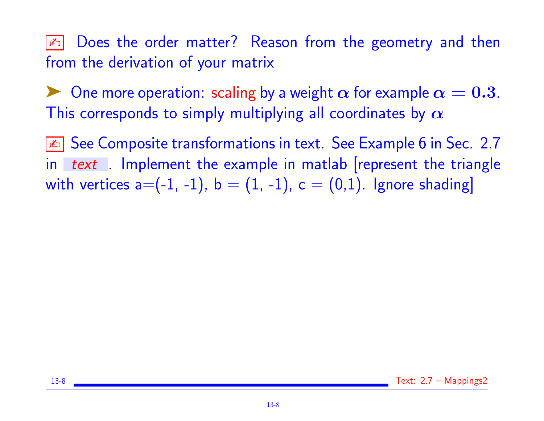**E** Does the order matter? Reason from the geometry and then from the derivation of your matrix

One more operation: scaling by a weight  $\alpha$  for example  $\alpha = 0.3$ . This corresponds to simply multiplying all coordinates by  $\alpha$ 

✍ See Composite transformations in text. See Example 6 in Sec. 2.7 in text. Implement the example in matlab represent the triangle with vertices  $a=(-1, -1)$ ,  $b = (1, -1)$ ,  $c = (0, 1)$ . Ignore shading